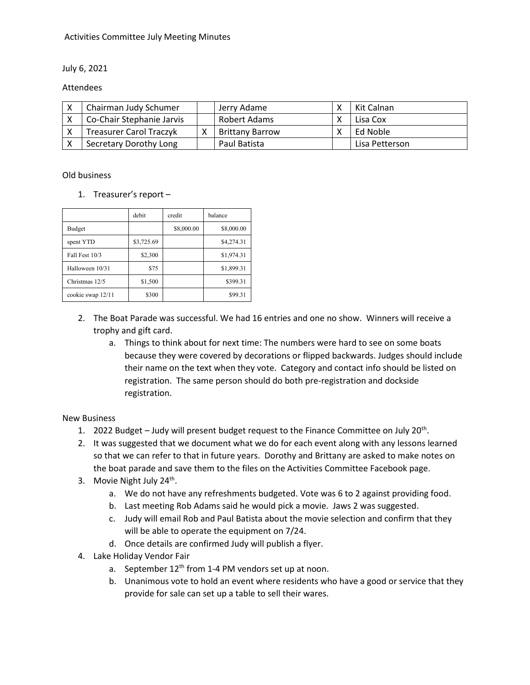#### Activities Committee July Meeting Minutes

#### July 6, 2021

#### Attendees

| Chairman Judy Schumer          | Jerry Adame            | Kit Calnan     |
|--------------------------------|------------------------|----------------|
| Co-Chair Stephanie Jarvis      | Robert Adams           | Lisa Cox       |
| <b>Treasurer Carol Traczyk</b> | <b>Brittany Barrow</b> | Ed Noble       |
| Secretary Dorothy Long         | Paul Batista           | Lisa Petterson |

#### Old business

1. Treasurer's report –

|                   | debit      | credit     | balance    |
|-------------------|------------|------------|------------|
| <b>Budget</b>     |            | \$8,000.00 | \$8,000.00 |
| spent YTD         | \$3,725.69 |            | \$4,274.31 |
| Fall Fest 10/3    | \$2,300    |            | \$1,974.31 |
| Halloween 10/31   | \$75       |            | \$1,899.31 |
| Christmas 12/5    | \$1,500    |            | \$399.31   |
| cookie swap 12/11 | \$300      |            | \$99.31    |

- 2. The Boat Parade was successful. We had 16 entries and one no show. Winners will receive a trophy and gift card.
	- a. Things to think about for next time: The numbers were hard to see on some boats because they were covered by decorations or flipped backwards. Judges should include their name on the text when they vote. Category and contact info should be listed on registration. The same person should do both pre-registration and dockside registration.

#### New Business

- 1. 2022 Budget Judy will present budget request to the Finance Committee on July 20<sup>th</sup>.
- 2. It was suggested that we document what we do for each event along with any lessons learned so that we can refer to that in future years. Dorothy and Brittany are asked to make notes on the boat parade and save them to the files on the Activities Committee Facebook page.
- 3. Movie Night July 24<sup>th</sup>.
	- a. We do not have any refreshments budgeted. Vote was 6 to 2 against providing food.
	- b. Last meeting Rob Adams said he would pick a movie. Jaws 2 was suggested.
	- c. Judy will email Rob and Paul Batista about the movie selection and confirm that they will be able to operate the equipment on 7/24.
	- d. Once details are confirmed Judy will publish a flyer.
- 4. Lake Holiday Vendor Fair
	- a. September  $12^{th}$  from 1-4 PM vendors set up at noon.
	- b. Unanimous vote to hold an event where residents who have a good or service that they provide for sale can set up a table to sell their wares.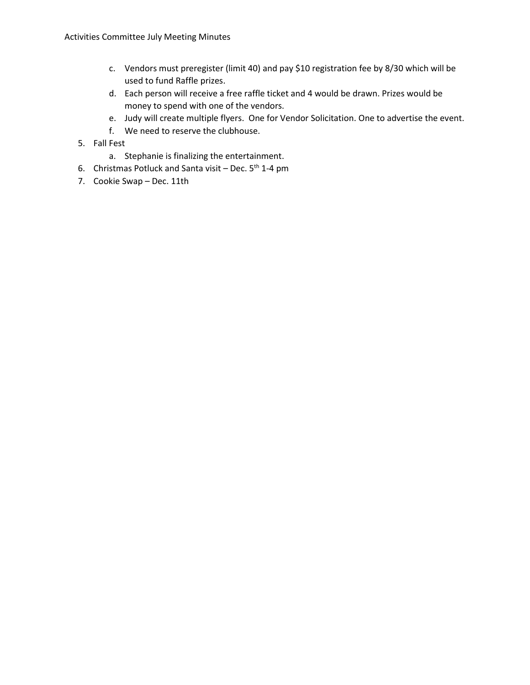- c. Vendors must preregister (limit 40) and pay \$10 registration fee by 8/30 which will be used to fund Raffle prizes.
- d. Each person will receive a free raffle ticket and 4 would be drawn. Prizes would be money to spend with one of the vendors.
- e. Judy will create multiple flyers. One for Vendor Solicitation. One to advertise the event.
- f. We need to reserve the clubhouse.
- 5. Fall Fest
	- a. Stephanie is finalizing the entertainment.
- 6. Christmas Potluck and Santa visit Dec.  $5<sup>th</sup>$  1-4 pm
- 7. Cookie Swap Dec. 11th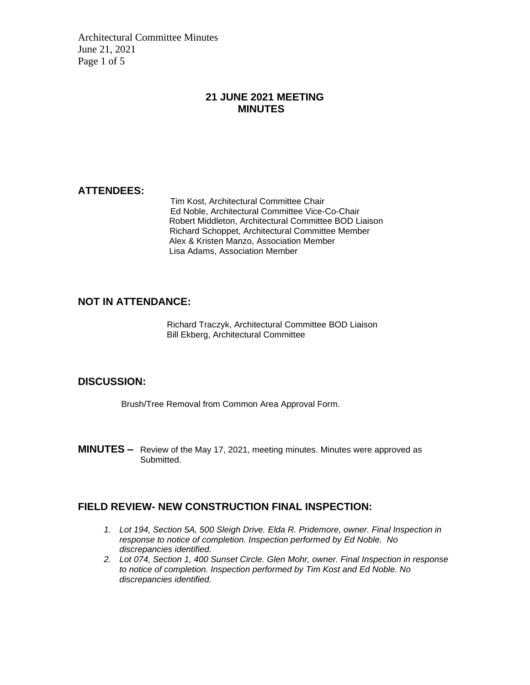Architectural Committee Minutes June 21, 2021 Page 1 of 5

### **21 JUNE 2021 MEETING MINUTES**

### **ATTENDEES:**

Tim Kost, Architectural Committee Chair Ed Noble, Architectural Committee Vice-Co-Chair Robert Middleton, Architectural Committee BOD Liaison Richard Schoppet, Architectural Committee Member Alex & Kristen Manzo, Association Member Lisa Adams, Association Member

### **NOT IN ATTENDANCE:**

Richard Traczyk, Architectural Committee BOD Liaison Bill Ekberg, Architectural Committee

#### **DISCUSSION:**

Brush/Tree Removal from Common Area Approval Form.

**MINUTES –** Review of the May 17, 2021, meeting minutes. Minutes were approved as Submitted.

#### **FIELD REVIEW- NEW CONSTRUCTION FINAL INSPECTION:**

- *1. Lot 194, Section 5A, 500 Sleigh Drive. Elda R. Pridemore, owner. Final Inspection in response to notice of completion. Inspection performed by Ed Noble. No discrepancies identified.*
- *2. Lot 074, Section 1, 400 Sunset Circle. Glen Mohr, owner. Final Inspection in response to notice of completion. Inspection performed by Tim Kost and Ed Noble. No discrepancies identified.*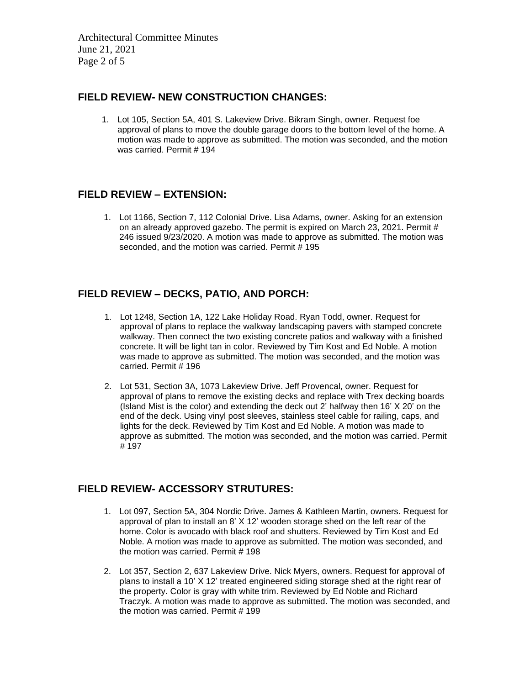Architectural Committee Minutes June 21, 2021 Page 2 of 5

### **FIELD REVIEW- NEW CONSTRUCTION CHANGES:**

1. Lot 105, Section 5A, 401 S. Lakeview Drive. Bikram Singh, owner. Request foe approval of plans to move the double garage doors to the bottom level of the home. A motion was made to approve as submitted. The motion was seconded, and the motion was carried. Permit # 194

### **FIELD REVIEW – EXTENSION:**

1. Lot 1166, Section 7, 112 Colonial Drive. Lisa Adams, owner. Asking for an extension on an already approved gazebo. The permit is expired on March 23, 2021. Permit # 246 issued 9/23/2020. A motion was made to approve as submitted. The motion was seconded, and the motion was carried. Permit # 195

### **FIELD REVIEW – DECKS, PATIO, AND PORCH:**

- 1. Lot 1248, Section 1A, 122 Lake Holiday Road. Ryan Todd, owner. Request for approval of plans to replace the walkway landscaping pavers with stamped concrete walkway. Then connect the two existing concrete patios and walkway with a finished concrete. It will be light tan in color. Reviewed by Tim Kost and Ed Noble. A motion was made to approve as submitted. The motion was seconded, and the motion was carried. Permit # 196
- 2. Lot 531, Section 3A, 1073 Lakeview Drive. Jeff Provencal, owner. Request for approval of plans to remove the existing decks and replace with Trex decking boards (Island Mist is the color) and extending the deck out 2' halfway then 16' X 20' on the end of the deck. Using vinyl post sleeves, stainless steel cable for railing, caps, and lights for the deck. Reviewed by Tim Kost and Ed Noble. A motion was made to approve as submitted. The motion was seconded, and the motion was carried. Permit # 197

### **FIELD REVIEW- ACCESSORY STRUTURES:**

- 1. Lot 097, Section 5A, 304 Nordic Drive. James & Kathleen Martin, owners. Request for approval of plan to install an 8' X 12' wooden storage shed on the left rear of the home. Color is avocado with black roof and shutters. Reviewed by Tim Kost and Ed Noble. A motion was made to approve as submitted. The motion was seconded, and the motion was carried. Permit  $# 198$
- 2. Lot 357, Section 2, 637 Lakeview Drive. Nick Myers, owners. Request for approval of plans to install a 10' X 12' treated engineered siding storage shed at the right rear of the property. Color is gray with white trim. Reviewed by Ed Noble and Richard Traczyk. A motion was made to approve as submitted. The motion was seconded, and the motion was carried. Permit # 199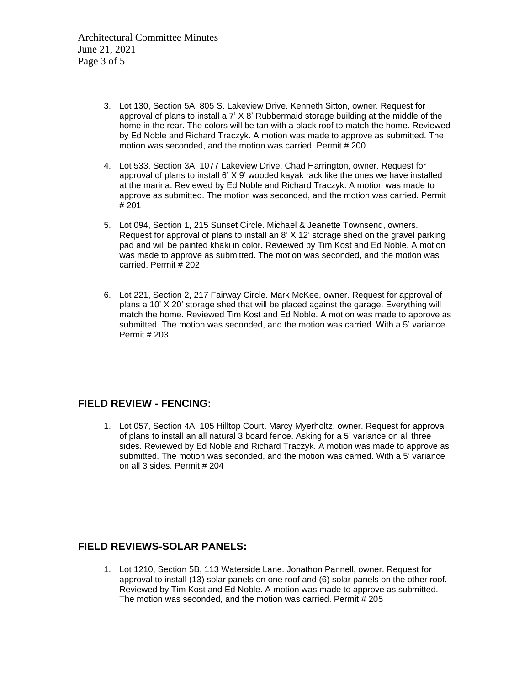Architectural Committee Minutes June 21, 2021 Page 3 of 5

- 3. Lot 130, Section 5A, 805 S. Lakeview Drive. Kenneth Sitton, owner. Request for approval of plans to install a 7' X 8' Rubbermaid storage building at the middle of the home in the rear. The colors will be tan with a black roof to match the home. Reviewed by Ed Noble and Richard Traczyk. A motion was made to approve as submitted. The motion was seconded, and the motion was carried. Permit # 200
- 4. Lot 533, Section 3A, 1077 Lakeview Drive. Chad Harrington, owner. Request for approval of plans to install 6' X 9' wooded kayak rack like the ones we have installed at the marina. Reviewed by Ed Noble and Richard Traczyk. A motion was made to approve as submitted. The motion was seconded, and the motion was carried. Permit # 201
- 5. Lot 094, Section 1, 215 Sunset Circle. Michael & Jeanette Townsend, owners. Request for approval of plans to install an 8' X 12' storage shed on the gravel parking pad and will be painted khaki in color. Reviewed by Tim Kost and Ed Noble. A motion was made to approve as submitted. The motion was seconded, and the motion was carried. Permit # 202
- 6. Lot 221, Section 2, 217 Fairway Circle. Mark McKee, owner. Request for approval of plans a 10' X 20' storage shed that will be placed against the garage. Everything will match the home. Reviewed Tim Kost and Ed Noble. A motion was made to approve as submitted. The motion was seconded, and the motion was carried. With a 5' variance. Permit # 203

### **FIELD REVIEW - FENCING:**

1. Lot 057, Section 4A, 105 Hilltop Court. Marcy Myerholtz, owner. Request for approval of plans to install an all natural 3 board fence. Asking for a 5' variance on all three sides. Reviewed by Ed Noble and Richard Traczyk. A motion was made to approve as submitted. The motion was seconded, and the motion was carried. With a 5' variance on all 3 sides. Permit # 204

#### **FIELD REVIEWS-SOLAR PANELS:**

1. Lot 1210, Section 5B, 113 Waterside Lane. Jonathon Pannell, owner. Request for approval to install (13) solar panels on one roof and (6) solar panels on the other roof. Reviewed by Tim Kost and Ed Noble. A motion was made to approve as submitted. The motion was seconded, and the motion was carried. Permit # 205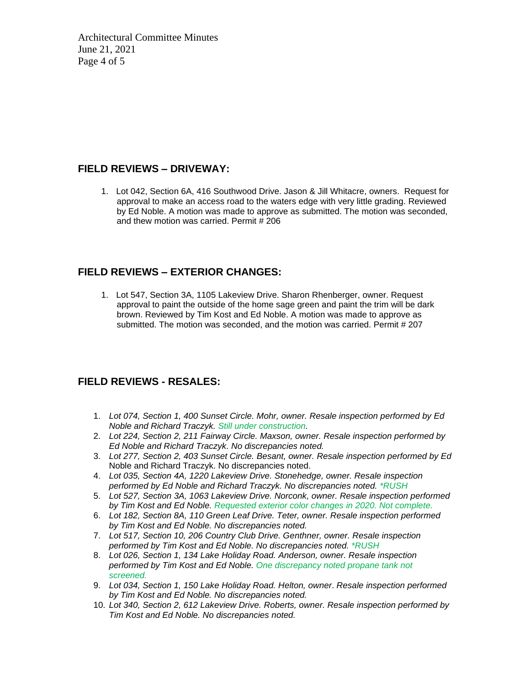Architectural Committee Minutes June 21, 2021 Page 4 of 5

### **FIELD REVIEWS – DRIVEWAY:**

1. Lot 042, Section 6A, 416 Southwood Drive. Jason & Jill Whitacre, owners. Request for approval to make an access road to the waters edge with very little grading. Reviewed by Ed Noble. A motion was made to approve as submitted. The motion was seconded, and thew motion was carried. Permit # 206

### **FIELD REVIEWS – EXTERIOR CHANGES:**

1. Lot 547, Section 3A, 1105 Lakeview Drive. Sharon Rhenberger, owner. Request approval to paint the outside of the home sage green and paint the trim will be dark brown. Reviewed by Tim Kost and Ed Noble. A motion was made to approve as submitted. The motion was seconded, and the motion was carried. Permit # 207

### **FIELD REVIEWS - RESALES:**

- 1. *Lot 074, Section 1, 400 Sunset Circle. Mohr, owner. Resale inspection performed by Ed Noble and Richard Traczyk. Still under construction.*
- 2. *Lot 224, Section 2, 211 Fairway Circle. Maxson, owner. Resale inspection performed by Ed Noble and Richard Traczyk. No discrepancies noted.*
- 3. *Lot 277, Section 2, 403 Sunset Circle. Besant, owner. Resale inspection performed by Ed*  Noble and Richard Traczyk. No discrepancies noted.
- 4. *Lot 035, Section 4A, 1220 Lakeview Drive. Stonehedge, owner. Resale inspection performed by Ed Noble and Richard Traczyk. No discrepancies noted. \*RUSH*
- 5. *Lot 527, Section 3A, 1063 Lakeview Drive. Norconk, owner. Resale inspection performed by Tim Kost and Ed Noble. Requested exterior color changes in 2020. Not complete.*
- 6. *Lot 182, Section 8A, 110 Green Leaf Drive. Teter, owner. Resale inspection performed by Tim Kost and Ed Noble. No discrepancies noted.*
- 7. *Lot 517, Section 10, 206 Country Club Drive. Genthner, owner. Resale inspection performed by Tim Kost and Ed Noble. No discrepancies noted. \*RUSH*
- 8. *Lot 026, Section 1, 134 Lake Holiday Road. Anderson, owner. Resale inspection performed by Tim Kost and Ed Noble. One discrepancy noted propane tank not screened.*
- 9. *Lot 034, Section 1, 150 Lake Holiday Road. Helton, owner*. *Resale inspection performed by Tim Kost and Ed Noble. No discrepancies noted.*
- 10. *Lot 340, Section 2, 612 Lakeview Drive. Roberts, owner. Resale inspection performed by Tim Kost and Ed Noble. No discrepancies noted.*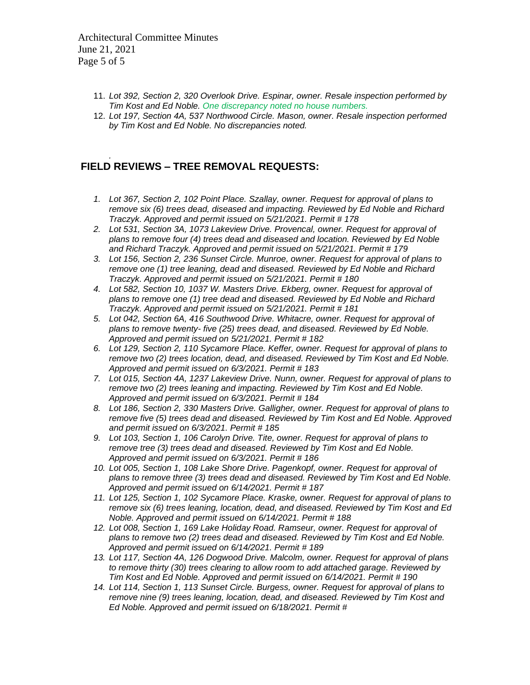Architectural Committee Minutes June 21, 2021 Page 5 of 5

- 11. *Lot 392, Section 2, 320 Overlook Drive. Espinar, owner. Resale inspection performed by Tim Kost and Ed Noble. One discrepancy noted no house numbers.*
- 12. *Lot 197, Section 4A, 537 Northwood Circle. Mason, owner. Resale inspection performed by Tim Kost and Ed Noble. No discrepancies noted.*

#### *.* **FIELD REVIEWS – TREE REMOVAL REQUESTS:**

- *1. Lot 367, Section 2, 102 Point Place. Szallay, owner. Request for approval of plans to remove six (6) trees dead, diseased and impacting. Reviewed by Ed Noble and Richard Traczyk. Approved and permit issued on 5/21/2021. Permit # 178*
- *2. Lot 531, Section 3A, 1073 Lakeview Drive. Provencal, owner. Request for approval of plans to remove four (4) trees dead and diseased and location. Reviewed by Ed Noble and Richard Traczyk. Approved and permit issued on 5/21/2021. Permit # 179*
- *3. Lot 156, Section 2, 236 Sunset Circle. Munroe, owner. Request for approval of plans to remove one (1) tree leaning, dead and diseased. Reviewed by Ed Noble and Richard Traczyk. Approved and permit issued on 5/21/2021. Permit # 180*
- *4. Lot 582, Section 10, 1037 W. Masters Drive. Ekberg, owner. Request for approval of plans to remove one (1) tree dead and diseased. Reviewed by Ed Noble and Richard Traczyk. Approved and permit issued on 5/21/2021. Permit # 181*
- *5. Lot 042, Section 6A, 416 Southwood Drive. Whitacre, owner. Request for approval of plans to remove twenty- five (25) trees dead, and diseased. Reviewed by Ed Noble. Approved and permit issued on 5/21/2021. Permit # 182*
- *6. Lot 129, Section 2, 110 Sycamore Place. Keffer, owner. Request for approval of plans to remove two (2) trees location, dead, and diseased. Reviewed by Tim Kost and Ed Noble. Approved and permit issued on 6/3/2021. Permit # 183*
- *7. Lot 015, Section 4A, 1237 Lakeview Drive. Nunn, owner. Request for approval of plans to remove two (2) trees leaning and impacting. Reviewed by Tim Kost and Ed Noble. Approved and permit issued on 6/3/2021. Permit # 184*
- *8. Lot 186, Section 2, 330 Masters Drive. Galligher, owner. Request for approval of plans to remove five (5) trees dead and diseased. Reviewed by Tim Kost and Ed Noble. Approved and permit issued on 6/3/2021. Permit # 185*
- *9. Lot 103, Section 1, 106 Carolyn Drive. Tite, owner. Request for approval of plans to remove tree (3) trees dead and diseased. Reviewed by Tim Kost and Ed Noble. Approved and permit issued on 6/3/2021. Permit # 186*
- *10. Lot 005, Section 1, 108 Lake Shore Drive. Pagenkopf, owner. Request for approval of plans to remove three (3) trees dead and diseased. Reviewed by Tim Kost and Ed Noble. Approved and permit issued on 6/14/2021. Permit # 187*
- *11. Lot 125, Section 1, 102 Sycamore Place. Kraske, owner. Request for approval of plans to remove six (6) trees leaning, location, dead, and diseased. Reviewed by Tim Kost and Ed Noble. Approved and permit issued on 6/14/2021. Permit # 188*
- *12. Lot 008, Section 1, 169 Lake Holiday Road. Ramseur, owner. Request for approval of plans to remove two (2) trees dead and diseased. Reviewed by Tim Kost and Ed Noble. Approved and permit issued on 6/14/2021. Permit # 189*
- *13. Lot 117, Section 4A, 126 Dogwood Drive. Malcolm, owner. Request for approval of plans to remove thirty (30) trees clearing to allow room to add attached garage. Reviewed by Tim Kost and Ed Noble. Approved and permit issued on 6/14/2021. Permit # 190*
- *14. Lot 114, Section 1, 113 Sunset Circle. Burgess, owner. Request for approval of plans to remove nine (9) trees leaning, location, dead, and diseased. Reviewed by Tim Kost and Ed Noble. Approved and permit issued on 6/18/2021. Permit #*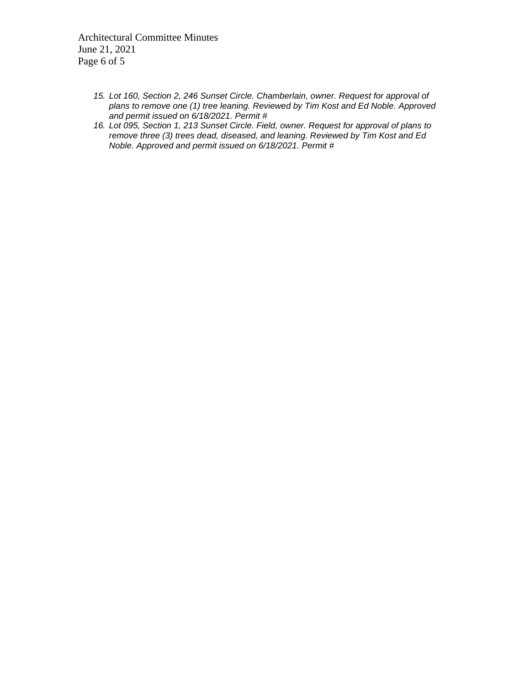Architectural Committee Minutes June 21, 2021 Page 6 of 5

- *15. Lot 160, Section 2, 246 Sunset Circle. Chamberlain, owner. Request for approval of plans to remove one (1) tree leaning. Reviewed by Tim Kost and Ed Noble. Approved and permit issued on 6/18/2021. Permit #*
- *16. Lot 095, Section 1, 213 Sunset Circle. Field, owner. Request for approval of plans to remove three (3) trees dead, diseased, and leaning. Reviewed by Tim Kost and Ed Noble. Approved and permit issued on 6/18/2021. Permit #*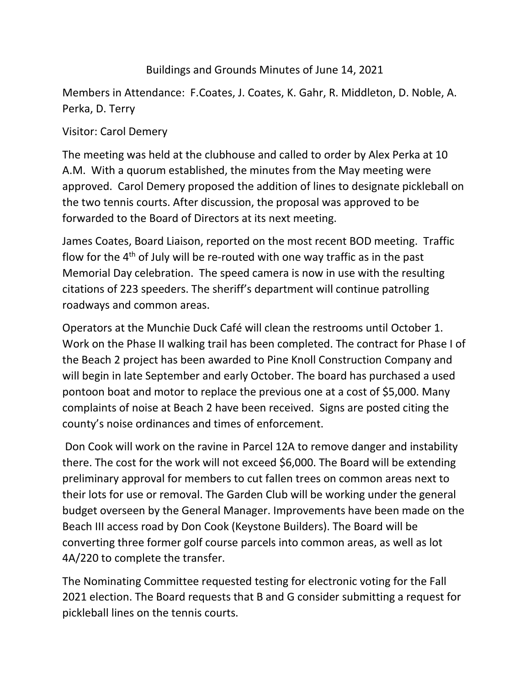# Buildings and Grounds Minutes of June 14, 2021

Members in Attendance: F.Coates, J. Coates, K. Gahr, R. Middleton, D. Noble, A. Perka, D. Terry

## Visitor: Carol Demery

The meeting was held at the clubhouse and called to order by Alex Perka at 10 A.M. With a quorum established, the minutes from the May meeting were approved. Carol Demery proposed the addition of lines to designate pickleball on the two tennis courts. After discussion, the proposal was approved to be forwarded to the Board of Directors at its next meeting.

James Coates, Board Liaison, reported on the most recent BOD meeting. Traffic flow for the  $4<sup>th</sup>$  of July will be re-routed with one way traffic as in the past Memorial Day celebration. The speed camera is now in use with the resulting citations of 223 speeders. The sheriff's department will continue patrolling roadways and common areas.

Operators at the Munchie Duck Café will clean the restrooms until October 1. Work on the Phase II walking trail has been completed. The contract for Phase I of the Beach 2 project has been awarded to Pine Knoll Construction Company and will begin in late September and early October. The board has purchased a used pontoon boat and motor to replace the previous one at a cost of \$5,000. Many complaints of noise at Beach 2 have been received. Signs are posted citing the county's noise ordinances and times of enforcement.

Don Cook will work on the ravine in Parcel 12A to remove danger and instability there. The cost for the work will not exceed \$6,000. The Board will be extending preliminary approval for members to cut fallen trees on common areas next to their lots for use or removal. The Garden Club will be working under the general budget overseen by the General Manager. Improvements have been made on the Beach III access road by Don Cook (Keystone Builders). The Board will be converting three former golf course parcels into common areas, as well as lot 4A/220 to complete the transfer.

The Nominating Committee requested testing for electronic voting for the Fall 2021 election. The Board requests that B and G consider submitting a request for pickleball lines on the tennis courts.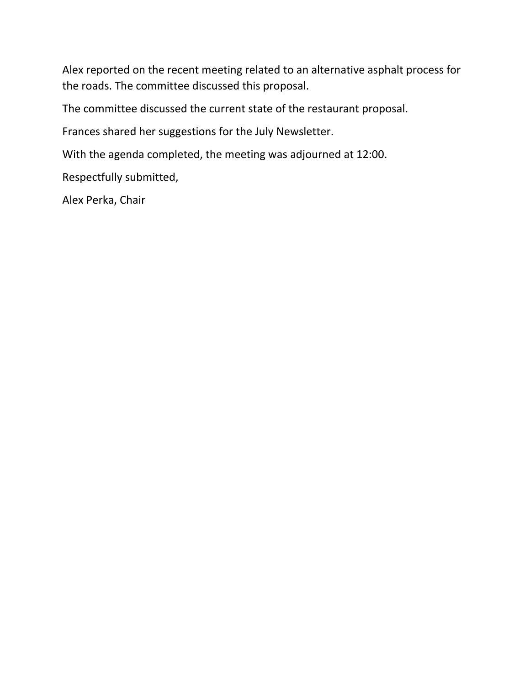Alex reported on the recent meeting related to an alternative asphalt process for the roads. The committee discussed this proposal.

The committee discussed the current state of the restaurant proposal.

Frances shared her suggestions for the July Newsletter.

With the agenda completed, the meeting was adjourned at 12:00.

Respectfully submitted,

Alex Perka, Chair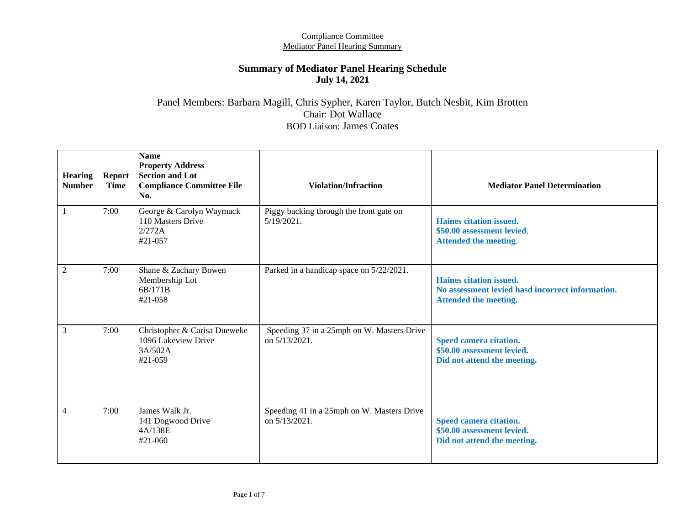#### **Summary of Mediator Panel Hearing Schedule July 14, 2021**

### Panel Members: Barbara Magill, Chris Sypher, Karen Taylor, Butch Nesbit, Kim Brotten Chair: Dot Wallace BOD Liaison: James Coates

| <b>Hearing</b><br><b>Number</b> | <b>Report</b><br><b>Time</b> | <b>Name</b><br><b>Property Address</b><br><b>Section and Lot</b><br><b>Compliance Committee File</b><br>No. | <b>Violation/Infraction</b>                                    | <b>Mediator Panel Determination</b>                                                                         |
|---------------------------------|------------------------------|-------------------------------------------------------------------------------------------------------------|----------------------------------------------------------------|-------------------------------------------------------------------------------------------------------------|
| 1                               | 7:00                         | George & Carolyn Waymack<br>110 Masters Drive<br>2/272A<br>#21-057                                          | Piggy backing through the front gate on<br>$5/19/2021$ .       | Haines citation issued.<br>\$50.00 assessment levied.<br><b>Attended the meeting.</b>                       |
| $\overline{2}$                  | 7:00                         | Shane & Zachary Bowen<br>Membership Lot<br>6B/171B<br>#21-058                                               | Parked in a handicap space on 5/22/2021.                       | Haines citation issued.<br>No assessment levied hasd incorrect information.<br><b>Attended the meeting.</b> |
| 3                               | 7:00                         | Christopher & Carisa Dueweke<br>1096 Lakeview Drive<br>3A/502A<br>$#21-059$                                 | Speeding 37 in a 25mph on W. Masters Drive<br>on $5/13/2021$ . | Speed camera citation.<br>\$50.00 assessment levied.<br>Did not attend the meeting.                         |
| $\overline{4}$                  | 7:00                         | James Walk Jr.<br>141 Dogwood Drive<br>4A/138E<br>#21-060                                                   | Speeding 41 in a 25mph on W. Masters Drive<br>on $5/13/2021$ . | Speed camera citation.<br>\$50.00 assessment levied.<br>Did not attend the meeting.                         |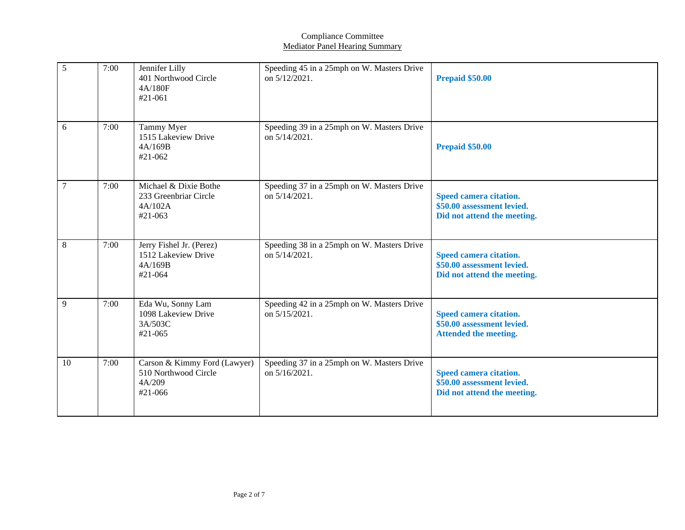| 5      | 7:00 | Jennifer Lilly<br>401 Northwood Circle<br>4A/180F<br>#21-061              | Speeding 45 in a 25mph on W. Masters Drive<br>on 5/12/2021. | <b>Prepaid \$50.00</b>                                                               |
|--------|------|---------------------------------------------------------------------------|-------------------------------------------------------------|--------------------------------------------------------------------------------------|
| 6      | 7:00 | Tammy Myer<br>1515 Lakeview Drive<br>4A/169B<br>#21-062                   | Speeding 39 in a 25mph on W. Masters Drive<br>on 5/14/2021. | <b>Prepaid \$50.00</b>                                                               |
| $\tau$ | 7:00 | Michael & Dixie Bothe<br>233 Greenbriar Circle<br>4A/102A<br>#21-063      | Speeding 37 in a 25mph on W. Masters Drive<br>on 5/14/2021. | Speed camera citation.<br>\$50.00 assessment levied.<br>Did not attend the meeting.  |
| 8      | 7:00 | Jerry Fishel Jr. (Perez)<br>1512 Lakeview Drive<br>4A/169B<br>#21-064     | Speeding 38 in a 25mph on W. Masters Drive<br>on 5/14/2021. | Speed camera citation.<br>\$50.00 assessment levied.<br>Did not attend the meeting.  |
| 9      | 7:00 | Eda Wu, Sonny Lam<br>1098 Lakeview Drive<br>3A/503C<br>#21-065            | Speeding 42 in a 25mph on W. Masters Drive<br>on 5/15/2021. | Speed camera citation.<br>\$50.00 assessment levied.<br><b>Attended the meeting.</b> |
| 10     | 7:00 | Carson & Kimmy Ford (Lawyer)<br>510 Northwood Circle<br>4A/209<br>#21-066 | Speeding 37 in a 25mph on W. Masters Drive<br>on 5/16/2021. | Speed camera citation.<br>\$50.00 assessment levied.<br>Did not attend the meeting.  |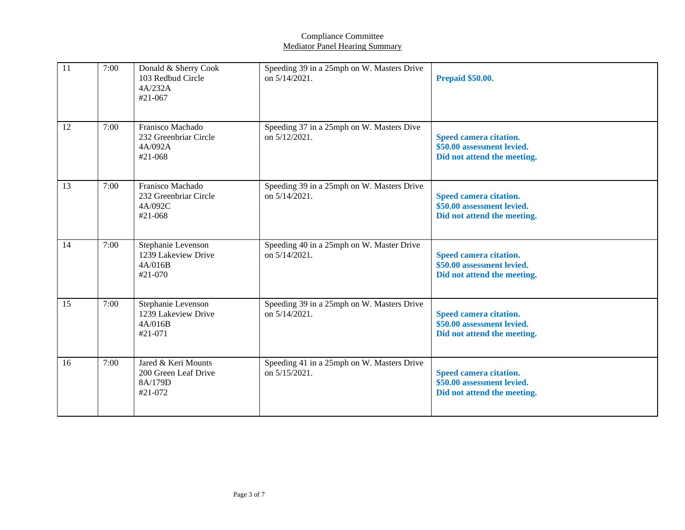| 11 | 7:00 | Donald & Sherry Cook<br>103 Redbud Circle<br>4A/232A<br>#21-067   | Speeding 39 in a 25mph on W. Masters Drive<br>on $5/14/2021$ . | <b>Prepaid \$50.00.</b>                                                             |
|----|------|-------------------------------------------------------------------|----------------------------------------------------------------|-------------------------------------------------------------------------------------|
| 12 | 7:00 | Franisco Machado<br>232 Greenbriar Circle<br>4A/092A<br>#21-068   | Speeding 37 in a 25mph on W. Masters Dive<br>on $5/12/2021$ .  | Speed camera citation.<br>\$50.00 assessment levied.<br>Did not attend the meeting. |
| 13 | 7:00 | Franisco Machado<br>232 Greenbriar Circle<br>4A/092C<br>#21-068   | Speeding 39 in a 25mph on W. Masters Drive<br>on $5/14/2021$ . | Speed camera citation.<br>\$50.00 assessment levied.<br>Did not attend the meeting. |
| 14 | 7:00 | Stephanie Levenson<br>1239 Lakeview Drive<br>4A/016B<br>#21-070   | Speeding 40 in a 25mph on W. Master Drive<br>on 5/14/2021.     | Speed camera citation.<br>\$50.00 assessment levied.<br>Did not attend the meeting. |
| 15 | 7:00 | Stephanie Levenson<br>1239 Lakeview Drive<br>4A/016B<br>#21-071   | Speeding 39 in a 25mph on W. Masters Drive<br>on 5/14/2021.    | Speed camera citation.<br>\$50.00 assessment levied.<br>Did not attend the meeting. |
| 16 | 7:00 | Jared & Keri Mounts<br>200 Green Leaf Drive<br>8A/179D<br>#21-072 | Speeding 41 in a 25mph on W. Masters Drive<br>on $5/15/2021$ . | Speed camera citation.<br>\$50.00 assessment levied.<br>Did not attend the meeting. |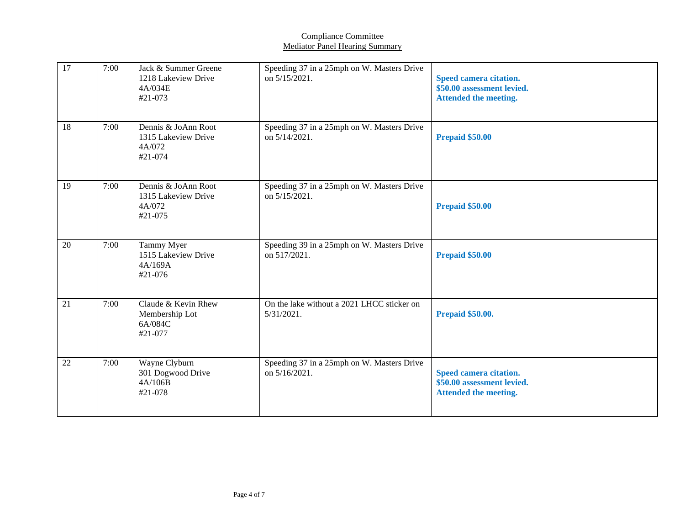| 17     | 7:00 | Jack & Summer Greene<br>1218 Lakeview Drive<br>4A/034E<br>#21-073 | Speeding 37 in a 25mph on W. Masters Drive<br>on 5/15/2021. | Speed camera citation.<br>\$50.00 assessment levied.<br><b>Attended the meeting.</b> |
|--------|------|-------------------------------------------------------------------|-------------------------------------------------------------|--------------------------------------------------------------------------------------|
| 18     | 7:00 | Dennis & JoAnn Root<br>1315 Lakeview Drive<br>4A/072<br>#21-074   | Speeding 37 in a 25mph on W. Masters Drive<br>on 5/14/2021. | <b>Prepaid \$50.00</b>                                                               |
| 19     | 7:00 | Dennis & JoAnn Root<br>1315 Lakeview Drive<br>4A/072<br>#21-075   | Speeding 37 in a 25mph on W. Masters Drive<br>on 5/15/2021. | <b>Prepaid \$50.00</b>                                                               |
| 20     | 7:00 | Tammy Myer<br>1515 Lakeview Drive<br>4A/169A<br>#21-076           | Speeding 39 in a 25mph on W. Masters Drive<br>on 517/2021.  | <b>Prepaid \$50.00</b>                                                               |
| 21     | 7:00 | Claude & Kevin Rhew<br>Membership Lot<br>6A/084C<br>#21-077       | On the lake without a 2021 LHCC sticker on<br>$5/31/2021$ . | <b>Prepaid \$50.00.</b>                                                              |
| $22\,$ | 7:00 | Wayne Clyburn<br>301 Dogwood Drive<br>4A/106B<br>#21-078          | Speeding 37 in a 25mph on W. Masters Drive<br>on 5/16/2021. | Speed camera citation.<br>\$50.00 assessment levied.<br><b>Attended the meeting.</b> |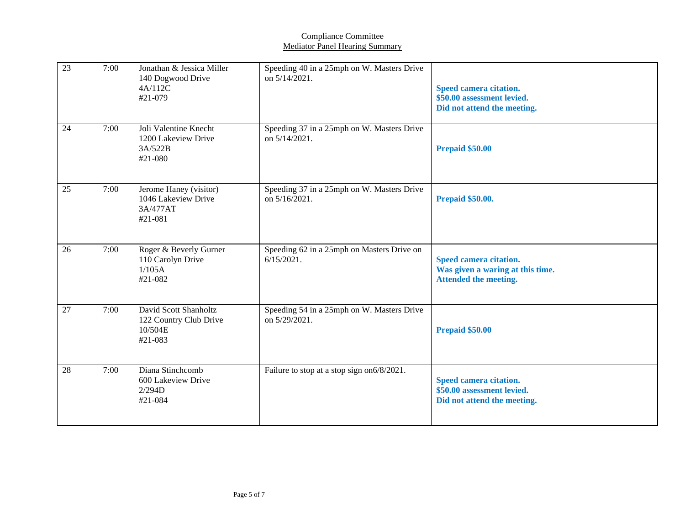| 23              | 7:00 | Jonathan & Jessica Miller<br>140 Dogwood Drive<br>4A/112C<br>#21-079  | Speeding 40 in a 25mph on W. Masters Drive<br>on $5/14/2021$ . | Speed camera citation.<br>\$50.00 assessment levied.<br>Did not attend the meeting.        |
|-----------------|------|-----------------------------------------------------------------------|----------------------------------------------------------------|--------------------------------------------------------------------------------------------|
| 24              | 7:00 | Joli Valentine Knecht<br>1200 Lakeview Drive<br>3A/522B<br>#21-080    | Speeding 37 in a 25mph on W. Masters Drive<br>on $5/14/2021$ . | Prepaid \$50.00                                                                            |
| $\overline{25}$ | 7:00 | Jerome Haney (visitor)<br>1046 Lakeview Drive<br>3A/477AT<br>#21-081  | Speeding 37 in a 25mph on W. Masters Drive<br>on 5/16/2021.    | <b>Prepaid \$50.00.</b>                                                                    |
| 26              | 7:00 | Roger & Beverly Gurner<br>110 Carolyn Drive<br>1/105A<br>#21-082      | Speeding 62 in a 25mph on Masters Drive on<br>$6/15/2021$ .    | Speed camera citation.<br>Was given a waring at this time.<br><b>Attended the meeting.</b> |
| 27              | 7:00 | David Scott Shanholtz<br>122 Country Club Drive<br>10/504E<br>#21-083 | Speeding 54 in a 25mph on W. Masters Drive<br>on 5/29/2021.    | Prepaid \$50.00                                                                            |
| 28              | 7:00 | Diana Stinchcomb<br>600 Lakeview Drive<br>2/294D<br>#21-084           | Failure to stop at a stop sign on 6/8/2021.                    | Speed camera citation.<br>\$50.00 assessment levied.<br>Did not attend the meeting.        |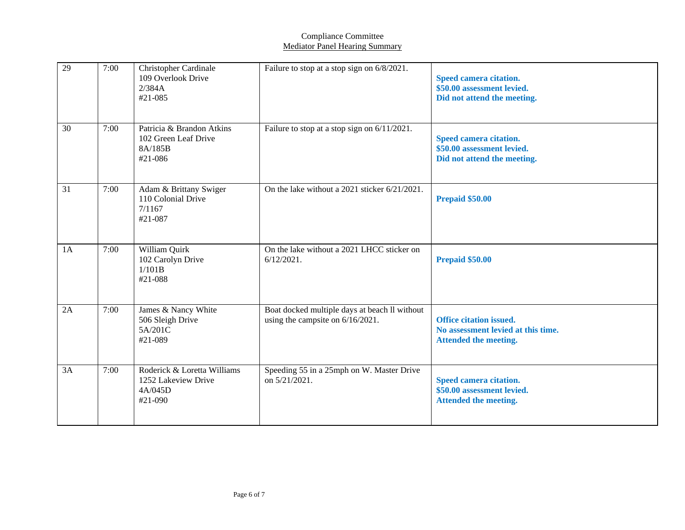| 29 | 7:00 | <b>Christopher Cardinale</b><br>109 Overlook Drive<br>2/384A<br>#21-085     | Failure to stop at a stop sign on 6/8/2021.                                       | Speed camera citation.<br>\$50.00 assessment levied.<br>Did not attend the meeting.                  |
|----|------|-----------------------------------------------------------------------------|-----------------------------------------------------------------------------------|------------------------------------------------------------------------------------------------------|
| 30 | 7:00 | Patricia & Brandon Atkins<br>102 Green Leaf Drive<br>8A/185B<br>$#21 - 086$ | Failure to stop at a stop sign on 6/11/2021.                                      | Speed camera citation.<br>\$50.00 assessment levied.<br>Did not attend the meeting.                  |
| 31 | 7:00 | Adam & Brittany Swiger<br>110 Colonial Drive<br>7/1167<br>#21-087           | On the lake without a 2021 sticker 6/21/2021.                                     | Prepaid \$50.00                                                                                      |
| 1A | 7:00 | William Quirk<br>102 Carolyn Drive<br>1/101B<br>#21-088                     | On the lake without a 2021 LHCC sticker on<br>$6/12/2021$ .                       | Prepaid \$50.00                                                                                      |
| 2A | 7:00 | James & Nancy White<br>506 Sleigh Drive<br>5A/201C<br>#21-089               | Boat docked multiple days at beach ll without<br>using the campsite on 6/16/2021. | <b>Office citation issued.</b><br>No assessment levied at this time.<br><b>Attended the meeting.</b> |
| 3A | 7:00 | Roderick & Loretta Williams<br>1252 Lakeview Drive<br>4A/045D<br>#21-090    | Speeding 55 in a 25mph on W. Master Drive<br>on 5/21/2021.                        | Speed camera citation.<br>\$50.00 assessment levied.<br><b>Attended the meeting.</b>                 |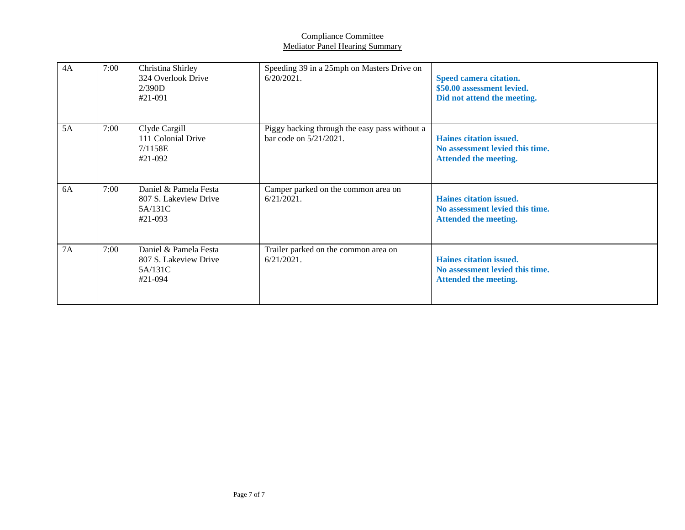| 4A | 7:00 | Christina Shirley<br>324 Overlook Drive<br>2/390D<br>#21-091         | Speeding 39 in a 25mph on Masters Drive on<br>$6/20/2021$ .             | Speed camera citation.<br>\$50.00 assessment levied.<br>Did not attend the meeting.        |
|----|------|----------------------------------------------------------------------|-------------------------------------------------------------------------|--------------------------------------------------------------------------------------------|
| 5A | 7:00 | Clyde Cargill<br>111 Colonial Drive<br>7/1158E<br>#21-092            | Piggy backing through the easy pass without a<br>bar code on 5/21/2021. | Haines citation issued.<br>No assessment levied this time.<br><b>Attended the meeting.</b> |
| 6A | 7:00 | Daniel & Pamela Festa<br>807 S. Lakeview Drive<br>5A/131C<br>#21-093 | Camper parked on the common area on<br>$6/21/2021$ .                    | Haines citation issued.<br>No assessment levied this time.<br><b>Attended the meeting.</b> |
| 7A | 7:00 | Daniel & Pamela Festa<br>807 S. Lakeview Drive<br>5A/131C<br>#21-094 | Trailer parked on the common area on<br>$6/21/2021$ .                   | Haines citation issued.<br>No assessment levied this time.<br>Attended the meeting.        |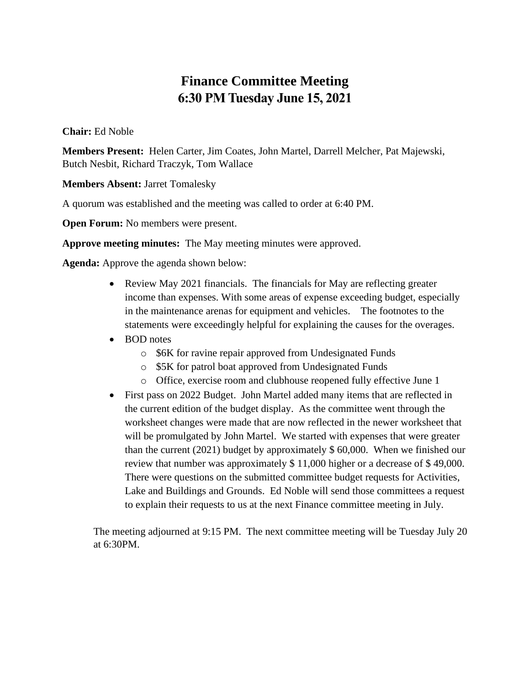# **Finance Committee Meeting 6:30 PM Tuesday June 15, 2021**

### **Chair:** Ed Noble

**Members Present:** Helen Carter, Jim Coates, John Martel, Darrell Melcher, Pat Majewski, Butch Nesbit, Richard Traczyk, Tom Wallace

**Members Absent:** Jarret Tomalesky

A quorum was established and the meeting was called to order at 6:40 PM.

**Open Forum:** No members were present.

**Approve meeting minutes:** The May meeting minutes were approved.

**Agenda:** Approve the agenda shown below:

- Review May 2021 financials. The financials for May are reflecting greater income than expenses. With some areas of expense exceeding budget, especially in the maintenance arenas for equipment and vehicles. The footnotes to the statements were exceedingly helpful for explaining the causes for the overages.
- BOD notes
	- o \$6K for ravine repair approved from Undesignated Funds
	- o \$5K for patrol boat approved from Undesignated Funds
	- o Office, exercise room and clubhouse reopened fully effective June 1
- First pass on 2022 Budget. John Martel added many items that are reflected in the current edition of the budget display. As the committee went through the worksheet changes were made that are now reflected in the newer worksheet that will be promulgated by John Martel. We started with expenses that were greater than the current (2021) budget by approximately \$ 60,000. When we finished our review that number was approximately \$ 11,000 higher or a decrease of \$ 49,000. There were questions on the submitted committee budget requests for Activities, Lake and Buildings and Grounds. Ed Noble will send those committees a request to explain their requests to us at the next Finance committee meeting in July.

The meeting adjourned at 9:15 PM. The next committee meeting will be Tuesday July 20 at 6:30PM.